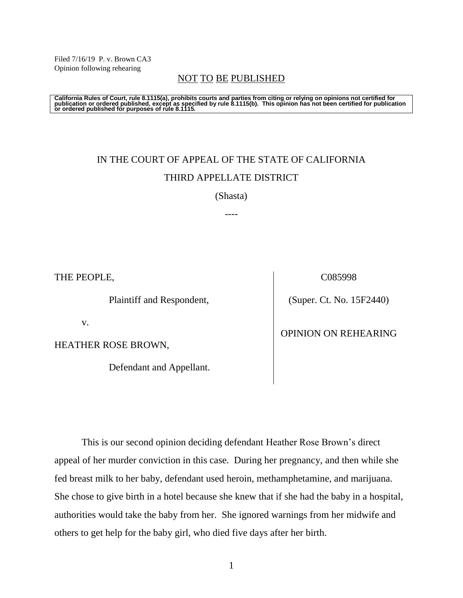Filed 7/16/19 P. v. Brown CA3 Opinion following rehearing

# NOT TO BE PUBLISHED

California Rules of Court, rule 8.1115(a), prohibits courts and parties from citing or relying on opinions not certified for<br>publication or ordered published, except as specified by rule 8.1115(b). This opinion has not be

# IN THE COURT OF APPEAL OF THE STATE OF CALIFORNIA THIRD APPELLATE DISTRICT

(Shasta)

----

THE PEOPLE,

Plaintiff and Respondent,

v.

HEATHER ROSE BROWN,

Defendant and Appellant.

C085998

(Super. Ct. No. 15F2440)

## OPINION ON REHEARING

This is our second opinion deciding defendant Heather Rose Brown's direct appeal of her murder conviction in this case. During her pregnancy, and then while she fed breast milk to her baby, defendant used heroin, methamphetamine, and marijuana. She chose to give birth in a hotel because she knew that if she had the baby in a hospital, authorities would take the baby from her. She ignored warnings from her midwife and others to get help for the baby girl, who died five days after her birth.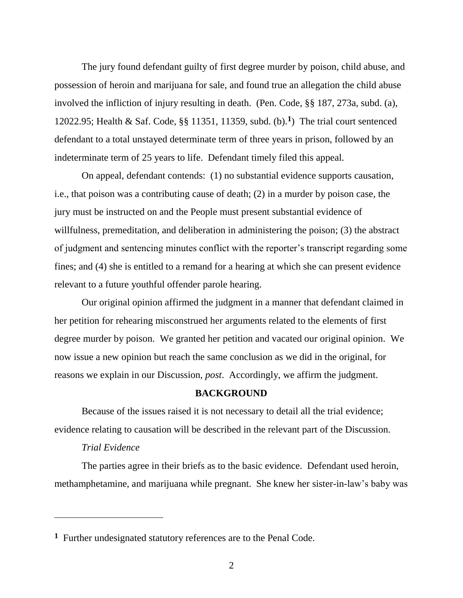The jury found defendant guilty of first degree murder by poison, child abuse, and possession of heroin and marijuana for sale, and found true an allegation the child abuse involved the infliction of injury resulting in death. (Pen. Code, §§ 187, 273a, subd. (a), 12022.95; Health & Saf. Code, §§ 11351, 11359, subd. (b).**<sup>1</sup>** ) The trial court sentenced defendant to a total unstayed determinate term of three years in prison, followed by an indeterminate term of 25 years to life. Defendant timely filed this appeal.

On appeal, defendant contends: (1) no substantial evidence supports causation, i.e., that poison was a contributing cause of death; (2) in a murder by poison case, the jury must be instructed on and the People must present substantial evidence of willfulness, premeditation, and deliberation in administering the poison; (3) the abstract of judgment and sentencing minutes conflict with the reporter's transcript regarding some fines; and (4) she is entitled to a remand for a hearing at which she can present evidence relevant to a future youthful offender parole hearing.

Our original opinion affirmed the judgment in a manner that defendant claimed in her petition for rehearing misconstrued her arguments related to the elements of first degree murder by poison. We granted her petition and vacated our original opinion. We now issue a new opinion but reach the same conclusion as we did in the original, for reasons we explain in our Discussion, *post*. Accordingly, we affirm the judgment.

#### **BACKGROUND**

Because of the issues raised it is not necessary to detail all the trial evidence; evidence relating to causation will be described in the relevant part of the Discussion.

## *Trial Evidence*

 $\overline{a}$ 

The parties agree in their briefs as to the basic evidence. Defendant used heroin, methamphetamine, and marijuana while pregnant. She knew her sister-in-law's baby was

**<sup>1</sup>** Further undesignated statutory references are to the Penal Code.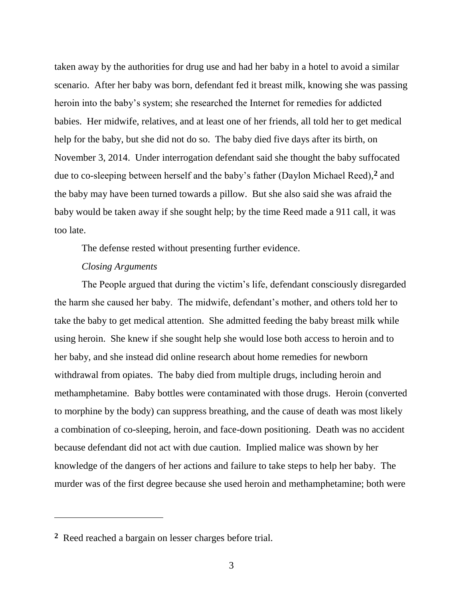taken away by the authorities for drug use and had her baby in a hotel to avoid a similar scenario. After her baby was born, defendant fed it breast milk, knowing she was passing heroin into the baby's system; she researched the Internet for remedies for addicted babies. Her midwife, relatives, and at least one of her friends, all told her to get medical help for the baby, but she did not do so. The baby died five days after its birth, on November 3, 2014. Under interrogation defendant said she thought the baby suffocated due to co-sleeping between herself and the baby's father (Daylon Michael Reed), **<sup>2</sup>** and the baby may have been turned towards a pillow. But she also said she was afraid the baby would be taken away if she sought help; by the time Reed made a 911 call, it was too late.

The defense rested without presenting further evidence.

#### *Closing Arguments*

The People argued that during the victim's life, defendant consciously disregarded the harm she caused her baby. The midwife, defendant's mother, and others told her to take the baby to get medical attention. She admitted feeding the baby breast milk while using heroin. She knew if she sought help she would lose both access to heroin and to her baby, and she instead did online research about home remedies for newborn withdrawal from opiates. The baby died from multiple drugs, including heroin and methamphetamine. Baby bottles were contaminated with those drugs. Heroin (converted to morphine by the body) can suppress breathing, and the cause of death was most likely a combination of co-sleeping, heroin, and face-down positioning. Death was no accident because defendant did not act with due caution. Implied malice was shown by her knowledge of the dangers of her actions and failure to take steps to help her baby. The murder was of the first degree because she used heroin and methamphetamine; both were

**<sup>2</sup>** Reed reached a bargain on lesser charges before trial.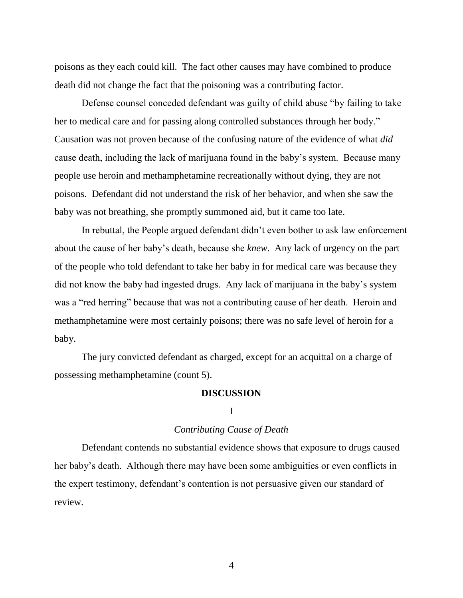poisons as they each could kill. The fact other causes may have combined to produce death did not change the fact that the poisoning was a contributing factor.

Defense counsel conceded defendant was guilty of child abuse "by failing to take her to medical care and for passing along controlled substances through her body." Causation was not proven because of the confusing nature of the evidence of what *did* cause death, including the lack of marijuana found in the baby's system. Because many people use heroin and methamphetamine recreationally without dying, they are not poisons. Defendant did not understand the risk of her behavior, and when she saw the baby was not breathing, she promptly summoned aid, but it came too late.

In rebuttal, the People argued defendant didn't even bother to ask law enforcement about the cause of her baby's death, because she *knew*. Any lack of urgency on the part of the people who told defendant to take her baby in for medical care was because they did not know the baby had ingested drugs. Any lack of marijuana in the baby's system was a "red herring" because that was not a contributing cause of her death. Heroin and methamphetamine were most certainly poisons; there was no safe level of heroin for a baby.

The jury convicted defendant as charged, except for an acquittal on a charge of possessing methamphetamine (count 5).

#### **DISCUSSION**

### I

#### *Contributing Cause of Death*

Defendant contends no substantial evidence shows that exposure to drugs caused her baby's death. Although there may have been some ambiguities or even conflicts in the expert testimony, defendant's contention is not persuasive given our standard of review.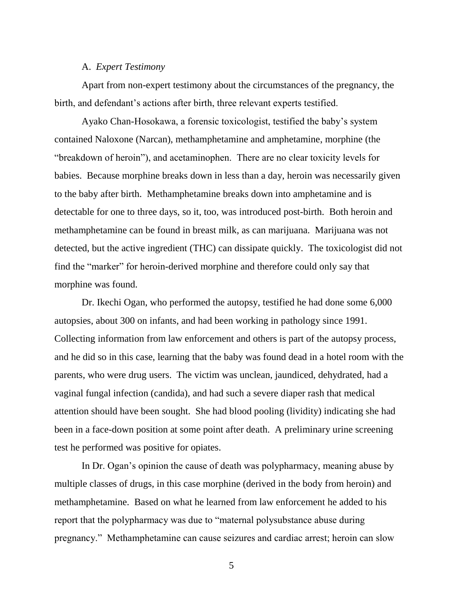## A. *Expert Testimony*

Apart from non-expert testimony about the circumstances of the pregnancy, the birth, and defendant's actions after birth, three relevant experts testified.

Ayako Chan-Hosokawa, a forensic toxicologist, testified the baby's system contained Naloxone (Narcan), methamphetamine and amphetamine, morphine (the "breakdown of heroin"), and acetaminophen. There are no clear toxicity levels for babies. Because morphine breaks down in less than a day, heroin was necessarily given to the baby after birth. Methamphetamine breaks down into amphetamine and is detectable for one to three days, so it, too, was introduced post-birth. Both heroin and methamphetamine can be found in breast milk, as can marijuana. Marijuana was not detected, but the active ingredient (THC) can dissipate quickly. The toxicologist did not find the "marker" for heroin-derived morphine and therefore could only say that morphine was found.

Dr. Ikechi Ogan, who performed the autopsy, testified he had done some 6,000 autopsies, about 300 on infants, and had been working in pathology since 1991. Collecting information from law enforcement and others is part of the autopsy process, and he did so in this case, learning that the baby was found dead in a hotel room with the parents, who were drug users. The victim was unclean, jaundiced, dehydrated, had a vaginal fungal infection (candida), and had such a severe diaper rash that medical attention should have been sought. She had blood pooling (lividity) indicating she had been in a face-down position at some point after death. A preliminary urine screening test he performed was positive for opiates.

In Dr. Ogan's opinion the cause of death was polypharmacy, meaning abuse by multiple classes of drugs, in this case morphine (derived in the body from heroin) and methamphetamine. Based on what he learned from law enforcement he added to his report that the polypharmacy was due to "maternal polysubstance abuse during pregnancy." Methamphetamine can cause seizures and cardiac arrest; heroin can slow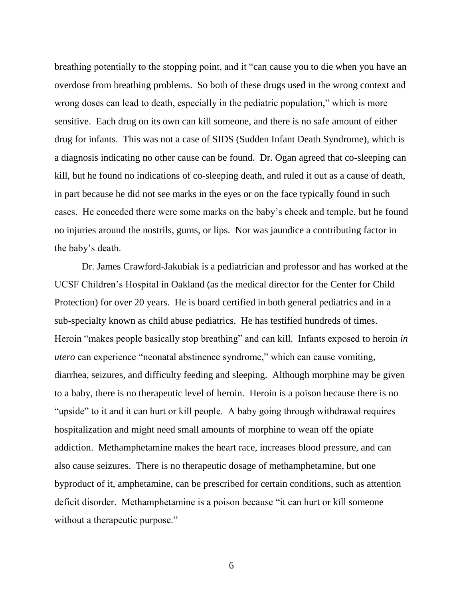breathing potentially to the stopping point, and it "can cause you to die when you have an overdose from breathing problems. So both of these drugs used in the wrong context and wrong doses can lead to death, especially in the pediatric population," which is more sensitive. Each drug on its own can kill someone, and there is no safe amount of either drug for infants. This was not a case of SIDS (Sudden Infant Death Syndrome), which is a diagnosis indicating no other cause can be found. Dr. Ogan agreed that co-sleeping can kill, but he found no indications of co-sleeping death, and ruled it out as a cause of death, in part because he did not see marks in the eyes or on the face typically found in such cases. He conceded there were some marks on the baby's cheek and temple, but he found no injuries around the nostrils, gums, or lips. Nor was jaundice a contributing factor in the baby's death.

Dr. James Crawford-Jakubiak is a pediatrician and professor and has worked at the UCSF Children's Hospital in Oakland (as the medical director for the Center for Child Protection) for over 20 years. He is board certified in both general pediatrics and in a sub-specialty known as child abuse pediatrics. He has testified hundreds of times. Heroin "makes people basically stop breathing" and can kill. Infants exposed to heroin *in utero* can experience "neonatal abstinence syndrome," which can cause vomiting, diarrhea, seizures, and difficulty feeding and sleeping. Although morphine may be given to a baby, there is no therapeutic level of heroin. Heroin is a poison because there is no "upside" to it and it can hurt or kill people. A baby going through withdrawal requires hospitalization and might need small amounts of morphine to wean off the opiate addiction. Methamphetamine makes the heart race, increases blood pressure, and can also cause seizures. There is no therapeutic dosage of methamphetamine, but one byproduct of it, amphetamine, can be prescribed for certain conditions, such as attention deficit disorder. Methamphetamine is a poison because "it can hurt or kill someone without a therapeutic purpose."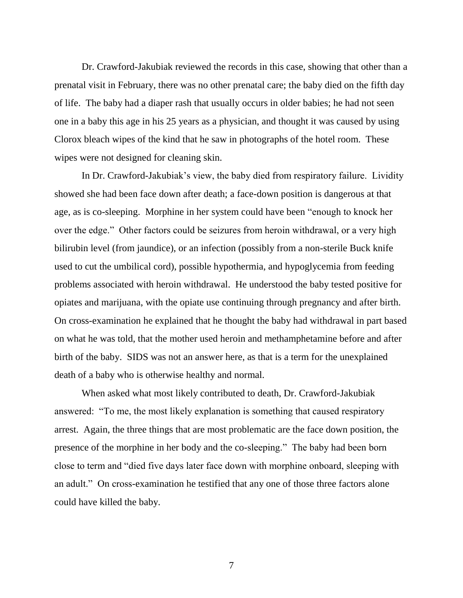Dr. Crawford-Jakubiak reviewed the records in this case, showing that other than a prenatal visit in February, there was no other prenatal care; the baby died on the fifth day of life. The baby had a diaper rash that usually occurs in older babies; he had not seen one in a baby this age in his 25 years as a physician, and thought it was caused by using Clorox bleach wipes of the kind that he saw in photographs of the hotel room. These wipes were not designed for cleaning skin.

In Dr. Crawford-Jakubiak's view, the baby died from respiratory failure. Lividity showed she had been face down after death; a face-down position is dangerous at that age, as is co-sleeping. Morphine in her system could have been "enough to knock her over the edge." Other factors could be seizures from heroin withdrawal, or a very high bilirubin level (from jaundice), or an infection (possibly from a non-sterile Buck knife used to cut the umbilical cord), possible hypothermia, and hypoglycemia from feeding problems associated with heroin withdrawal. He understood the baby tested positive for opiates and marijuana, with the opiate use continuing through pregnancy and after birth. On cross-examination he explained that he thought the baby had withdrawal in part based on what he was told, that the mother used heroin and methamphetamine before and after birth of the baby. SIDS was not an answer here, as that is a term for the unexplained death of a baby who is otherwise healthy and normal.

When asked what most likely contributed to death, Dr. Crawford-Jakubiak answered: "To me, the most likely explanation is something that caused respiratory arrest. Again, the three things that are most problematic are the face down position, the presence of the morphine in her body and the co-sleeping." The baby had been born close to term and "died five days later face down with morphine onboard, sleeping with an adult." On cross-examination he testified that any one of those three factors alone could have killed the baby.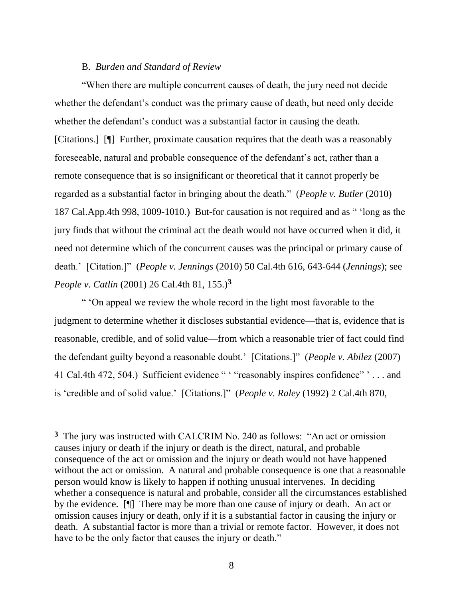## B. *Burden and Standard of Review*

 $\overline{a}$ 

"When there are multiple concurrent causes of death, the jury need not decide whether the defendant's conduct was the primary cause of death, but need only decide whether the defendant's conduct was a substantial factor in causing the death. [Citations.] [¶] Further, proximate causation requires that the death was a reasonably foreseeable, natural and probable consequence of the defendant's act, rather than a remote consequence that is so insignificant or theoretical that it cannot properly be regarded as a substantial factor in bringing about the death." (*People v. Butler* (2010) 187 Cal.App.4th 998, 1009-1010.) But-for causation is not required and as " 'long as the jury finds that without the criminal act the death would not have occurred when it did, it need not determine which of the concurrent causes was the principal or primary cause of death.' [Citation.]" (*People v. Jennings* (2010) 50 Cal.4th 616, 643-644 (*Jennings*); see *People v. Catlin* (2001) 26 Cal.4th 81, 155.)**<sup>3</sup>**

" 'On appeal we review the whole record in the light most favorable to the judgment to determine whether it discloses substantial evidence—that is, evidence that is reasonable, credible, and of solid value—from which a reasonable trier of fact could find the defendant guilty beyond a reasonable doubt.' [Citations.]" (*People v. Abilez* (2007) 41 Cal.4th 472, 504.) Sufficient evidence " ' "reasonably inspires confidence" ' . . . and is 'credible and of solid value.' [Citations.]" (*People v. Raley* (1992) 2 Cal.4th 870,

**<sup>3</sup>** The jury was instructed with CALCRIM No. 240 as follows: "An act or omission causes injury or death if the injury or death is the direct, natural, and probable consequence of the act or omission and the injury or death would not have happened without the act or omission. A natural and probable consequence is one that a reasonable person would know is likely to happen if nothing unusual intervenes. In deciding whether a consequence is natural and probable, consider all the circumstances established by the evidence. [¶] There may be more than one cause of injury or death. An act or omission causes injury or death, only if it is a substantial factor in causing the injury or death. A substantial factor is more than a trivial or remote factor. However, it does not have to be the only factor that causes the injury or death."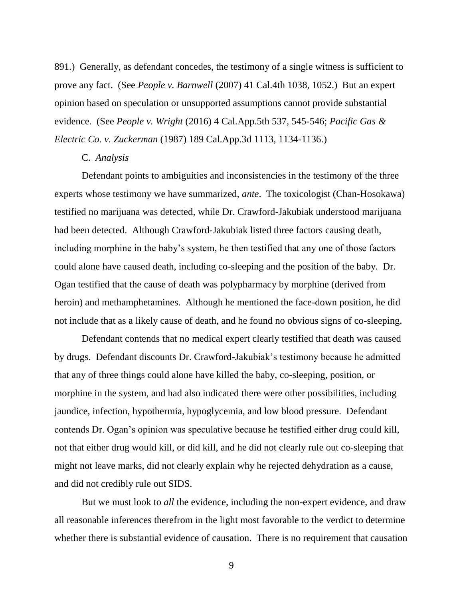891.) Generally, as defendant concedes, the testimony of a single witness is sufficient to prove any fact. (See *People v. Barnwell* (2007) 41 Cal.4th 1038, 1052.) But an expert opinion based on speculation or unsupported assumptions cannot provide substantial evidence. (See *People v. Wright* (2016) 4 Cal.App.5th 537, 545-546; *Pacific Gas & Electric Co. v. Zuckerman* (1987) 189 Cal.App.3d 1113, 1134-1136.)

#### C. *Analysis*

Defendant points to ambiguities and inconsistencies in the testimony of the three experts whose testimony we have summarized, *ante*. The toxicologist (Chan-Hosokawa) testified no marijuana was detected, while Dr. Crawford-Jakubiak understood marijuana had been detected. Although Crawford-Jakubiak listed three factors causing death, including morphine in the baby's system, he then testified that any one of those factors could alone have caused death, including co-sleeping and the position of the baby. Dr. Ogan testified that the cause of death was polypharmacy by morphine (derived from heroin) and methamphetamines. Although he mentioned the face-down position, he did not include that as a likely cause of death, and he found no obvious signs of co-sleeping.

Defendant contends that no medical expert clearly testified that death was caused by drugs. Defendant discounts Dr. Crawford-Jakubiak's testimony because he admitted that any of three things could alone have killed the baby, co-sleeping, position, or morphine in the system, and had also indicated there were other possibilities, including jaundice, infection, hypothermia, hypoglycemia, and low blood pressure. Defendant contends Dr. Ogan's opinion was speculative because he testified either drug could kill, not that either drug would kill, or did kill, and he did not clearly rule out co-sleeping that might not leave marks, did not clearly explain why he rejected dehydration as a cause, and did not credibly rule out SIDS.

But we must look to *all* the evidence, including the non-expert evidence, and draw all reasonable inferences therefrom in the light most favorable to the verdict to determine whether there is substantial evidence of causation. There is no requirement that causation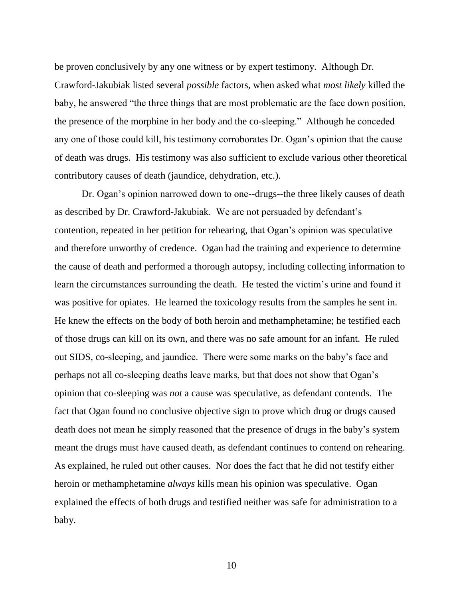be proven conclusively by any one witness or by expert testimony. Although Dr. Crawford-Jakubiak listed several *possible* factors, when asked what *most likely* killed the baby, he answered "the three things that are most problematic are the face down position, the presence of the morphine in her body and the co-sleeping." Although he conceded any one of those could kill, his testimony corroborates Dr. Ogan's opinion that the cause of death was drugs. His testimony was also sufficient to exclude various other theoretical contributory causes of death (jaundice, dehydration, etc.).

Dr. Ogan's opinion narrowed down to one--drugs--the three likely causes of death as described by Dr. Crawford-Jakubiak. We are not persuaded by defendant's contention, repeated in her petition for rehearing, that Ogan's opinion was speculative and therefore unworthy of credence. Ogan had the training and experience to determine the cause of death and performed a thorough autopsy, including collecting information to learn the circumstances surrounding the death. He tested the victim's urine and found it was positive for opiates. He learned the toxicology results from the samples he sent in. He knew the effects on the body of both heroin and methamphetamine; he testified each of those drugs can kill on its own, and there was no safe amount for an infant. He ruled out SIDS, co-sleeping, and jaundice. There were some marks on the baby's face and perhaps not all co-sleeping deaths leave marks, but that does not show that Ogan's opinion that co-sleeping was *not* a cause was speculative, as defendant contends. The fact that Ogan found no conclusive objective sign to prove which drug or drugs caused death does not mean he simply reasoned that the presence of drugs in the baby's system meant the drugs must have caused death, as defendant continues to contend on rehearing. As explained, he ruled out other causes. Nor does the fact that he did not testify either heroin or methamphetamine *always* kills mean his opinion was speculative. Ogan explained the effects of both drugs and testified neither was safe for administration to a baby.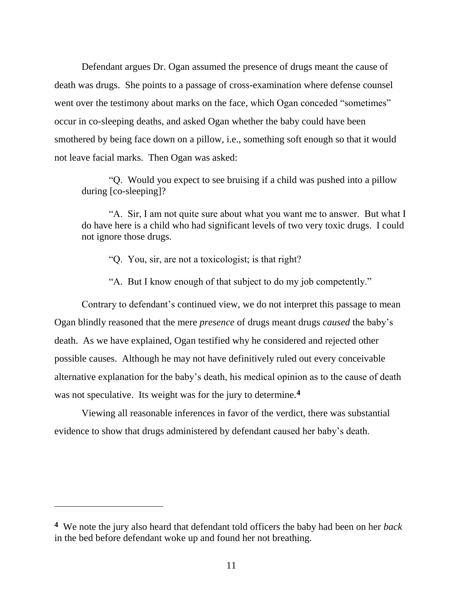Defendant argues Dr. Ogan assumed the presence of drugs meant the cause of death was drugs. She points to a passage of cross-examination where defense counsel went over the testimony about marks on the face, which Ogan conceded "sometimes" occur in co-sleeping deaths, and asked Ogan whether the baby could have been smothered by being face down on a pillow, i.e., something soft enough so that it would not leave facial marks. Then Ogan was asked:

"Q. Would you expect to see bruising if a child was pushed into a pillow during [co-sleeping]?

"A. Sir, I am not quite sure about what you want me to answer. But what I do have here is a child who had significant levels of two very toxic drugs. I could not ignore those drugs.

- "Q. You, sir, are not a toxicologist; is that right?
- "A. But I know enough of that subject to do my job competently."

Contrary to defendant's continued view, we do not interpret this passage to mean Ogan blindly reasoned that the mere *presence* of drugs meant drugs *caused* the baby's death. As we have explained, Ogan testified why he considered and rejected other possible causes. Although he may not have definitively ruled out every conceivable alternative explanation for the baby's death, his medical opinion as to the cause of death was not speculative. Its weight was for the jury to determine.**<sup>4</sup>**

Viewing all reasonable inferences in favor of the verdict, there was substantial evidence to show that drugs administered by defendant caused her baby's death.

**<sup>4</sup>** We note the jury also heard that defendant told officers the baby had been on her *back* in the bed before defendant woke up and found her not breathing.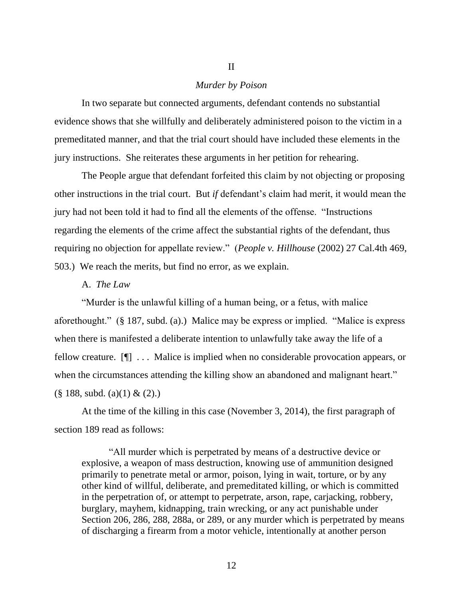## *Murder by Poison*

II

In two separate but connected arguments, defendant contends no substantial evidence shows that she willfully and deliberately administered poison to the victim in a premeditated manner, and that the trial court should have included these elements in the jury instructions. She reiterates these arguments in her petition for rehearing.

The People argue that defendant forfeited this claim by not objecting or proposing other instructions in the trial court. But *if* defendant's claim had merit, it would mean the jury had not been told it had to find all the elements of the offense. "Instructions regarding the elements of the crime affect the substantial rights of the defendant, thus requiring no objection for appellate review." (*People v. Hillhouse* (2002) 27 Cal.4th 469, 503.) We reach the merits, but find no error, as we explain.

## A. *The Law*

"Murder is the unlawful killing of a human being, or a fetus, with malice aforethought." (§ 187, subd. (a).) Malice may be express or implied. "Malice is express when there is manifested a deliberate intention to unlawfully take away the life of a fellow creature. [¶] . . . Malice is implied when no considerable provocation appears, or when the circumstances attending the killing show an abandoned and malignant heart."  $(\S$  188, subd. (a)(1) & (2).)

At the time of the killing in this case (November 3, 2014), the first paragraph of section 189 read as follows:

"All murder which is perpetrated by means of a destructive device or explosive, a weapon of mass destruction, knowing use of ammunition designed primarily to penetrate metal or armor, poison, lying in wait, torture, or by any other kind of willful, deliberate, and premeditated killing, or which is committed in the perpetration of, or attempt to perpetrate, arson, rape, carjacking, robbery, burglary, mayhem, kidnapping, train wrecking, or any act punishable under Section 206, 286, 288, 288a, or 289, or any murder which is perpetrated by means of discharging a firearm from a motor vehicle, intentionally at another person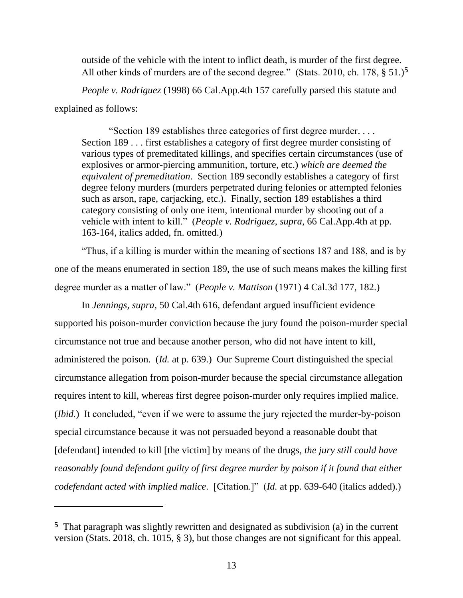outside of the vehicle with the intent to inflict death, is murder of the first degree. All other kinds of murders are of the second degree." (Stats. 2010, ch. 178, § 51.)**<sup>5</sup>**

*People v. Rodriguez* (1998) 66 Cal.App.4th 157 carefully parsed this statute and explained as follows:

"Section 189 establishes three categories of first degree murder. . . . Section 189 . . . first establishes a category of first degree murder consisting of various types of premeditated killings, and specifies certain circumstances (use of explosives or armor-piercing ammunition, torture, etc.) *which are deemed the equivalent of premeditation*. Section 189 secondly establishes a category of first degree felony murders (murders perpetrated during felonies or attempted felonies such as arson, rape, carjacking, etc.). Finally, section 189 establishes a third category consisting of only one item, intentional murder by shooting out of a vehicle with intent to kill." (*People v. Rodriguez*, *supra*, 66 Cal.App.4th at pp. 163-164, italics added, fn. omitted.)

"Thus, if a killing is murder within the meaning of sections 187 and 188, and is by one of the means enumerated in section 189, the use of such means makes the killing first degree murder as a matter of law." (*People v. Mattison* (1971) 4 Cal.3d 177, 182.)

In *Jennings, supra,* 50 Cal.4th 616, defendant argued insufficient evidence supported his poison-murder conviction because the jury found the poison-murder special circumstance not true and because another person, who did not have intent to kill, administered the poison. (*Id.* at p. 639.) Our Supreme Court distinguished the special circumstance allegation from poison-murder because the special circumstance allegation requires intent to kill, whereas first degree poison-murder only requires implied malice. (*Ibid.*) It concluded, "even if we were to assume the jury rejected the murder-by-poison special circumstance because it was not persuaded beyond a reasonable doubt that [defendant] intended to kill [the victim] by means of the drugs, *the jury still could have reasonably found defendant guilty of first degree murder by poison if it found that either codefendant acted with implied malice*. [Citation.]" (*Id.* at pp. 639-640 (italics added).)

**<sup>5</sup>** That paragraph was slightly rewritten and designated as subdivision (a) in the current version (Stats. 2018, ch. 1015, § 3), but those changes are not significant for this appeal.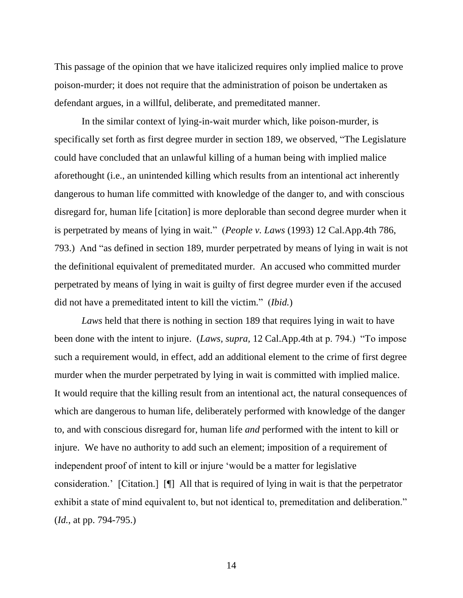This passage of the opinion that we have italicized requires only implied malice to prove poison-murder; it does not require that the administration of poison be undertaken as defendant argues, in a willful, deliberate, and premeditated manner.

In the similar context of lying-in-wait murder which, like poison-murder, is specifically set forth as first degree murder in section 189, we observed, "The Legislature could have concluded that an unlawful killing of a human being with implied malice aforethought (i.e., an unintended killing which results from an intentional act inherently dangerous to human life committed with knowledge of the danger to, and with conscious disregard for, human life [citation] is more deplorable than second degree murder when it is perpetrated by means of lying in wait." (*People v. Laws* (1993) 12 Cal.App.4th 786, 793.) And "as defined in section 189, murder perpetrated by means of lying in wait is not the definitional equivalent of premeditated murder. An accused who committed murder perpetrated by means of lying in wait is guilty of first degree murder even if the accused did not have a premeditated intent to kill the victim." (*Ibid.*)

*Laws* held that there is nothing in section 189 that requires lying in wait to have been done with the intent to injure. (*Laws, supra,* 12 Cal.App.4th at p. 794.) "To impose such a requirement would, in effect, add an additional element to the crime of first degree murder when the murder perpetrated by lying in wait is committed with implied malice. It would require that the killing result from an intentional act, the natural consequences of which are dangerous to human life, deliberately performed with knowledge of the danger to, and with conscious disregard for, human life *and* performed with the intent to kill or injure. We have no authority to add such an element; imposition of a requirement of independent proof of intent to kill or injure 'would be a matter for legislative consideration.' [Citation.] [¶] All that is required of lying in wait is that the perpetrator exhibit a state of mind equivalent to, but not identical to, premeditation and deliberation." (*Id.*, at pp. 794-795.)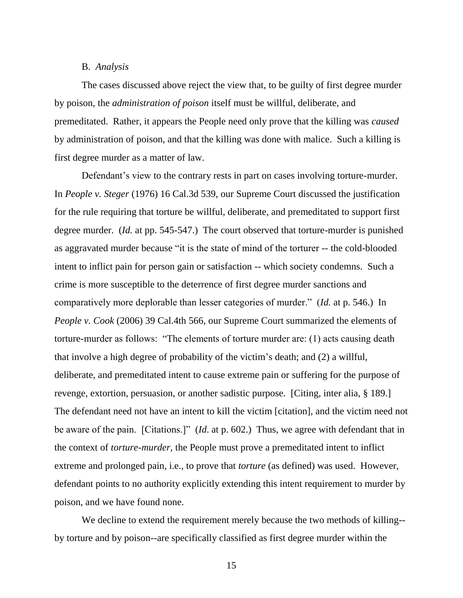### B. *Analysis*

The cases discussed above reject the view that, to be guilty of first degree murder by poison, the *administration of poison* itself must be willful, deliberate, and premeditated. Rather, it appears the People need only prove that the killing was *caused* by administration of poison, and that the killing was done with malice. Such a killing is first degree murder as a matter of law.

Defendant's view to the contrary rests in part on cases involving torture-murder. In *People v. Steger* (1976) 16 Cal.3d 539, our Supreme Court discussed the justification for the rule requiring that torture be willful, deliberate, and premeditated to support first degree murder. (*Id.* at pp. 545-547.) The court observed that torture-murder is punished as aggravated murder because "it is the state of mind of the torturer -- the cold-blooded intent to inflict pain for person gain or satisfaction -- which society condemns. Such a crime is more susceptible to the deterrence of first degree murder sanctions and comparatively more deplorable than lesser categories of murder." (*Id.* at p. 546.) In *People v. Cook* (2006) 39 Cal.4th 566, our Supreme Court summarized the elements of torture-murder as follows: "The elements of torture murder are: (1) acts causing death that involve a high degree of probability of the victim's death; and (2) a willful, deliberate, and premeditated intent to cause extreme pain or suffering for the purpose of revenge, extortion, persuasion, or another sadistic purpose. [Citing, inter alia, § 189.] The defendant need not have an intent to kill the victim [citation], and the victim need not be aware of the pain. [Citations.]" (*Id*. at p. 602.) Thus, we agree with defendant that in the context of *torture-murder*, the People must prove a premeditated intent to inflict extreme and prolonged pain, i.e., to prove that *torture* (as defined) was used. However, defendant points to no authority explicitly extending this intent requirement to murder by poison, and we have found none.

We decline to extend the requirement merely because the two methods of killing- by torture and by poison--are specifically classified as first degree murder within the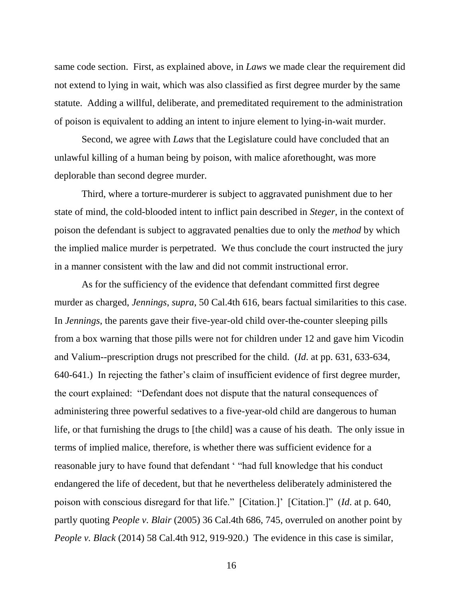same code section. First, as explained above, in *Laws* we made clear the requirement did not extend to lying in wait, which was also classified as first degree murder by the same statute. Adding a willful, deliberate, and premeditated requirement to the administration of poison is equivalent to adding an intent to injure element to lying-in-wait murder.

Second, we agree with *Laws* that the Legislature could have concluded that an unlawful killing of a human being by poison, with malice aforethought, was more deplorable than second degree murder.

Third, where a torture-murderer is subject to aggravated punishment due to her state of mind, the cold-blooded intent to inflict pain described in *Steger*, in the context of poison the defendant is subject to aggravated penalties due to only the *method* by which the implied malice murder is perpetrated. We thus conclude the court instructed the jury in a manner consistent with the law and did not commit instructional error.

As for the sufficiency of the evidence that defendant committed first degree murder as charged, *Jennings*, *supra*, 50 Cal.4th 616, bears factual similarities to this case. In *Jennings*, the parents gave their five-year-old child over-the-counter sleeping pills from a box warning that those pills were not for children under 12 and gave him Vicodin and Valium--prescription drugs not prescribed for the child. (*Id*. at pp. 631, 633-634, 640-641.) In rejecting the father's claim of insufficient evidence of first degree murder, the court explained: "Defendant does not dispute that the natural consequences of administering three powerful sedatives to a five-year-old child are dangerous to human life, or that furnishing the drugs to [the child] was a cause of his death. The only issue in terms of implied malice, therefore, is whether there was sufficient evidence for a reasonable jury to have found that defendant ' "had full knowledge that his conduct endangered the life of decedent, but that he nevertheless deliberately administered the poison with conscious disregard for that life." [Citation.]' [Citation.]" (*Id*. at p. 640, partly quoting *People v. Blair* (2005) 36 Cal.4th 686, 745, overruled on another point by *People v. Black* (2014) 58 Cal.4th 912, 919-920.) The evidence in this case is similar,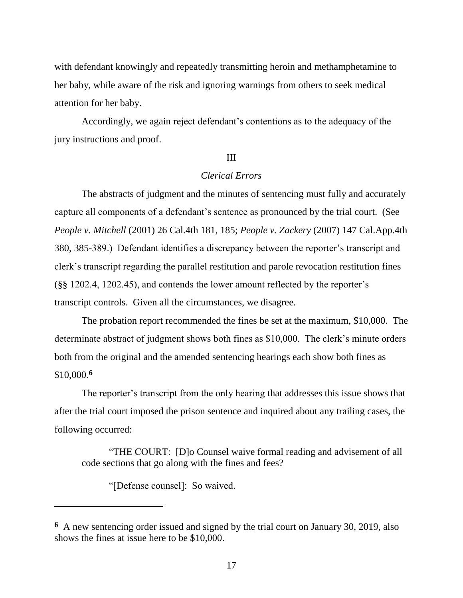with defendant knowingly and repeatedly transmitting heroin and methamphetamine to her baby, while aware of the risk and ignoring warnings from others to seek medical attention for her baby.

Accordingly, we again reject defendant's contentions as to the adequacy of the jury instructions and proof.

#### III

# *Clerical Errors*

The abstracts of judgment and the minutes of sentencing must fully and accurately capture all components of a defendant's sentence as pronounced by the trial court. (See *People v. Mitchell* (2001) 26 Cal.4th 181, 185; *People v. Zackery* (2007) 147 Cal.App.4th 380, 385-389.) Defendant identifies a discrepancy between the reporter's transcript and clerk's transcript regarding the parallel restitution and parole revocation restitution fines (§§ 1202.4, 1202.45), and contends the lower amount reflected by the reporter's transcript controls. Given all the circumstances, we disagree.

The probation report recommended the fines be set at the maximum, \$10,000. The determinate abstract of judgment shows both fines as \$10,000. The clerk's minute orders both from the original and the amended sentencing hearings each show both fines as \$10,000.**<sup>6</sup>**

The reporter's transcript from the only hearing that addresses this issue shows that after the trial court imposed the prison sentence and inquired about any trailing cases, the following occurred:

"THE COURT: [D]o Counsel waive formal reading and advisement of all code sections that go along with the fines and fees?

"[Defense counsel]: So waived.

**<sup>6</sup>** A new sentencing order issued and signed by the trial court on January 30, 2019, also shows the fines at issue here to be \$10,000.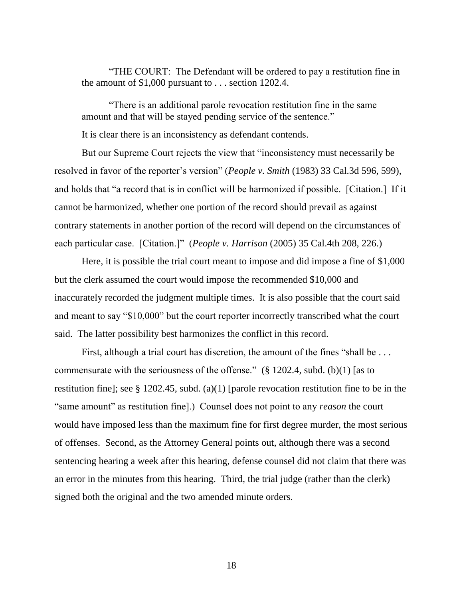"THE COURT: The Defendant will be ordered to pay a restitution fine in the amount of \$1,000 pursuant to . . . section 1202.4.

"There is an additional parole revocation restitution fine in the same amount and that will be stayed pending service of the sentence."

It is clear there is an inconsistency as defendant contends.

But our Supreme Court rejects the view that "inconsistency must necessarily be resolved in favor of the reporter's version" (*People v. Smith* (1983) 33 Cal.3d 596, 599), and holds that "a record that is in conflict will be harmonized if possible. [Citation.] If it cannot be harmonized, whether one portion of the record should prevail as against contrary statements in another portion of the record will depend on the circumstances of each particular case. [Citation.]" (*People v. Harrison* (2005) 35 Cal.4th 208, 226.)

Here, it is possible the trial court meant to impose and did impose a fine of \$1,000 but the clerk assumed the court would impose the recommended \$10,000 and inaccurately recorded the judgment multiple times. It is also possible that the court said and meant to say "\$10,000" but the court reporter incorrectly transcribed what the court said. The latter possibility best harmonizes the conflict in this record.

First, although a trial court has discretion, the amount of the fines "shall be ... commensurate with the seriousness of the offense." (§ 1202.4, subd. (b)(1) [as to restitution fine]; see § 1202.45, subd. (a)(1) [parole revocation restitution fine to be in the "same amount" as restitution fine].) Counsel does not point to any *reason* the court would have imposed less than the maximum fine for first degree murder, the most serious of offenses. Second, as the Attorney General points out, although there was a second sentencing hearing a week after this hearing, defense counsel did not claim that there was an error in the minutes from this hearing. Third, the trial judge (rather than the clerk) signed both the original and the two amended minute orders.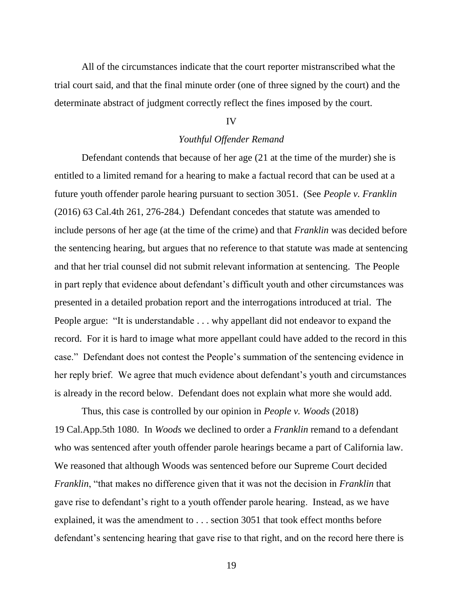All of the circumstances indicate that the court reporter mistranscribed what the trial court said, and that the final minute order (one of three signed by the court) and the determinate abstract of judgment correctly reflect the fines imposed by the court.

#### IV

#### *Youthful Offender Remand*

Defendant contends that because of her age (21 at the time of the murder) she is entitled to a limited remand for a hearing to make a factual record that can be used at a future youth offender parole hearing pursuant to section 3051. (See *People v. Franklin*  (2016) 63 Cal.4th 261, 276-284.) Defendant concedes that statute was amended to include persons of her age (at the time of the crime) and that *Franklin* was decided before the sentencing hearing, but argues that no reference to that statute was made at sentencing and that her trial counsel did not submit relevant information at sentencing. The People in part reply that evidence about defendant's difficult youth and other circumstances was presented in a detailed probation report and the interrogations introduced at trial. The People argue: "It is understandable . . . why appellant did not endeavor to expand the record. For it is hard to image what more appellant could have added to the record in this case." Defendant does not contest the People's summation of the sentencing evidence in her reply brief. We agree that much evidence about defendant's youth and circumstances is already in the record below. Defendant does not explain what more she would add.

Thus, this case is controlled by our opinion in *People v. Woods* (2018) 19 Cal.App.5th 1080. In *Woods* we declined to order a *Franklin* remand to a defendant who was sentenced after youth offender parole hearings became a part of California law. We reasoned that although Woods was sentenced before our Supreme Court decided *Franklin*, "that makes no difference given that it was not the decision in *Franklin* that gave rise to defendant's right to a youth offender parole hearing. Instead, as we have explained, it was the amendment to . . . section 3051 that took effect months before defendant's sentencing hearing that gave rise to that right, and on the record here there is